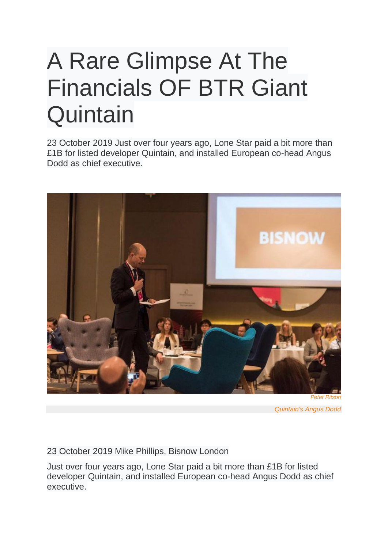## A Rare Glimpse At The Financials OF BTR Giant **Quintain**

23 October 2019 Just over four years ago, Lone Star paid a bit more than £1B for listed developer Quintain, and installed European co-head Angus Dodd as chief executive.



*Peter Ritson*

*Quintain's Angus Dodd*

23 October 2019 Mike Phillips, Bisnow London

Just over four years ago, Lone Star paid a bit more than £1B for listed developer Quintain, and installed European co-head Angus Dodd as chief executive.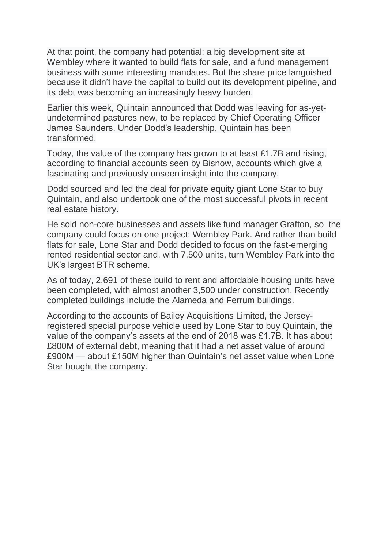At that point, the company had potential: a big development site at Wembley where it wanted to build flats for sale, and a fund management business with some interesting mandates. But the share price languished because it didn't have the capital to build out its development pipeline, and its debt was becoming an increasingly heavy burden.

Earlier this week, Quintain announced that Dodd was leaving for as-yetundetermined pastures new, to be replaced by Chief Operating Officer James Saunders. Under Dodd's leadership, Quintain has been transformed.

Today, the value of the company has grown to at least £1.7B and rising, according to financial accounts seen by Bisnow, accounts which give a fascinating and previously unseen insight into the company.

Dodd sourced and led the deal for private equity giant Lone Star to buy Quintain, and also undertook one of the most successful pivots in recent real estate history.

He sold non-core businesses and assets like fund manager Grafton, so the company could focus on one project: Wembley Park. And rather than build flats for sale, Lone Star and Dodd decided to focus on the fast-emerging rented residential sector and, with 7,500 units, turn Wembley Park into the UK's largest BTR scheme.

As of today, 2,691 of these build to rent and affordable housing units have been completed, with almost another 3,500 under construction. Recently completed buildings include the Alameda and Ferrum buildings.

According to the accounts of Bailey Acquisitions Limited, the Jerseyregistered special purpose vehicle used by Lone Star to buy Quintain, the value of the company's assets at the end of 2018 was £1.7B. It has about £800M of external debt, meaning that it had a net asset value of around £900M — about £150M higher than Quintain's net asset value when Lone Star bought the company.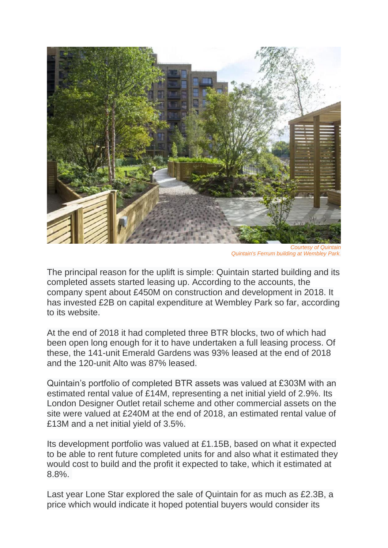

*Courtesy of Quintain Quintain's Ferrum building at Wembley Park.*

The principal reason for the uplift is simple: Quintain started building and its completed assets started leasing up. According to the accounts, the company spent about £450M on construction and development in 2018. It has invested £2B on capital expenditure at Wembley Park so far, according to its website.

At the end of 2018 it had completed three BTR blocks, two of which had been open long enough for it to have undertaken a full leasing process. Of these, the 141-unit Emerald Gardens was 93% leased at the end of 2018 and the 120-unit Alto was 87% leased.

Quintain's portfolio of completed BTR assets was valued at £303M with an estimated rental value of £14M, representing a net initial yield of 2.9%. Its London Designer Outlet retail scheme and other commercial assets on the site were valued at £240M at the end of 2018, an estimated rental value of £13M and a net initial yield of 3.5%.

Its development portfolio was valued at £1.15B, based on what it expected to be able to rent future completed units for and also what it estimated they would cost to build and the profit it expected to take, which it estimated at 8.8%.

Last year Lone Star explored the sale of Quintain for as much as £2.3B, a price which would indicate it hoped potential buyers would consider its